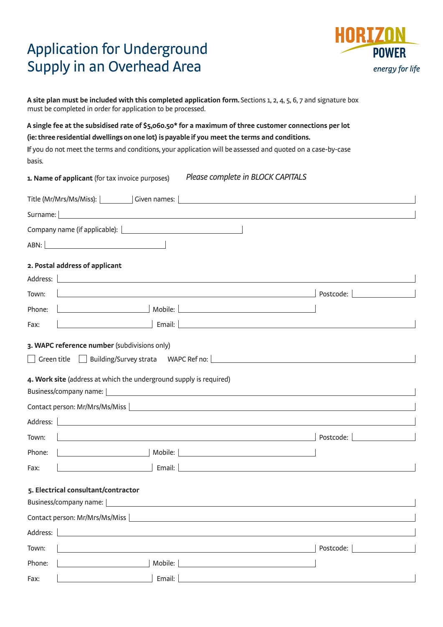# Application for Underground Supply in an Overhead Area



**A site plan must be included with this completed application form.**Sections 1, 2, 4, 5, 6, 7 and signature box must be completed in order for application to be processed.

**A single fee at the subsidised rate of \$5,060.50\* for a maximum of three customer connections per lot (ie: three residential dwellings on one lot) is payable if you meet the terms and conditions.** 

If you do not meet the terms and conditions, your application will be assessed and quoted on a case-by-case basis.

|                                     | Please complete in BLOCK CAPITALS<br>1. Name of applicant (for tax invoice purposes)                                                                                                                                                                                                                                                                                                                                                                                                                                                  |           |
|-------------------------------------|---------------------------------------------------------------------------------------------------------------------------------------------------------------------------------------------------------------------------------------------------------------------------------------------------------------------------------------------------------------------------------------------------------------------------------------------------------------------------------------------------------------------------------------|-----------|
|                                     | Title (Mr/Mrs/Ms/Miss):   Given names:  <br><u> 1980 - Johann Barn, fransk politik (f. 1980)</u>                                                                                                                                                                                                                                                                                                                                                                                                                                      |           |
| Surname:                            | <u> 1980 - Johann Barn, amerikan bestemannten bestemannten bestemannten bestemannten bestemannten bestemannten b</u>                                                                                                                                                                                                                                                                                                                                                                                                                  |           |
|                                     |                                                                                                                                                                                                                                                                                                                                                                                                                                                                                                                                       |           |
|                                     |                                                                                                                                                                                                                                                                                                                                                                                                                                                                                                                                       |           |
|                                     | 2. Postal address of applicant                                                                                                                                                                                                                                                                                                                                                                                                                                                                                                        |           |
| Address:                            | <u> 1980 - Andrea Andrew Maria (h. 1980).</u>                                                                                                                                                                                                                                                                                                                                                                                                                                                                                         |           |
| Town:                               | <u> 1989 - Johann Stoff, deutscher Stoffen und der Stoffen und der Stoffen und der Stoffen und der Stoffen und der</u>                                                                                                                                                                                                                                                                                                                                                                                                                | Postcode: |
| Phone:                              | <u> Mobile: Mobile: Mobile: Mobile: Mobile: Mobile: Mobile: Mobile: Mobile: Mobile: Mobile: Mobile: Mobile: Mobile: Mobile: Mobile: Mobile: Mobile: Mobile: Mobile: Mobile: Mobile: Mobile: Mobile: Mobile: Mobile: Mobile: Mobi</u>                                                                                                                                                                                                                                                                                                  |           |
| Fax:                                | Email: $\Box$<br><u> 1989 - Johann Stein, fransk politik (d. 1989)</u>                                                                                                                                                                                                                                                                                                                                                                                                                                                                |           |
| Address:<br>Town:<br>Phone:<br>Fax: | 4. Work site (address at which the underground supply is required)<br>Business/company name:   www.advisor.com/www.advisor.com/www.advisor.com/www.advisor.com/www.advisor.com/www.a<br>Contact person: Mr/Mrs/Ms/Miss   Manual Manual Manual Manual Manual Manual Manual Manual Manual Manual Manual<br><u> 1989 - Johann Barn, amerikan besteman besteman besteman besteman besteman besteman besteman besteman bestema</u><br>the contract of the contract of the<br>Email:<br><u> 1980 - Andrea Station, amerikansk politik (</u> | Postcode: |
|                                     | 5. Electrical consultant/contractor<br>Business/company name:  <br>Contact person: Mr/Mrs/Ms/Miss                                                                                                                                                                                                                                                                                                                                                                                                                                     |           |
| Address:                            |                                                                                                                                                                                                                                                                                                                                                                                                                                                                                                                                       |           |
| Town:                               |                                                                                                                                                                                                                                                                                                                                                                                                                                                                                                                                       | Postcode: |
| Phone:                              | Mobile:<br><u> 1989 - Andrea Station, amerikansk politik (</u>                                                                                                                                                                                                                                                                                                                                                                                                                                                                        |           |
| Fax:                                | Email:                                                                                                                                                                                                                                                                                                                                                                                                                                                                                                                                |           |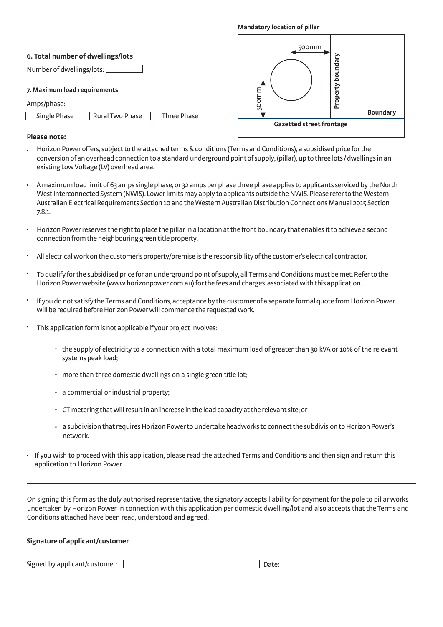#### **Mandatory location of pillar**

### **Please note:**

- Horizon Power offers, subject to the attached terms & conditions (Terms and Conditions), a subsidised price for the conversion of an overhead connection to a standard underground point of supply, (pillar), up to threelots / dwellings in an existing Low Voltage (LV) overhead area.
- A maximum load limit of 63amps single phase, or 32 amps per phase three phase applies to applicants serviced by the North West Interconnected System(NWIS). Lower limits may apply to applicants outside the NWIS. Please refer to the Western Australian Electrical RequirementsSection 10 and the Western Australian Distribution Connections Manual 2015 Section 7.8.1.
- Horizon Power reserves the right to place the pillar in a locationat the front boundary that enables it to achieve a second connection from the neighbouringgreen title property.
- All electrical work on the customer's property/premise is the responsibility of the customer's electrical contractor.
- To qualify for the subsidised pricefor an underground point of supply, all Terms and Conditions must be met. Refer to the Horizon Power website (www.horizonpower.com.au) for the fees andcharges associated with this application.
- If you do not satisfy the Terms and Conditions, acceptance by the customer of a separate formal quote from Horizon Power will be required before Horizon Power will commence the requested work.
- This application form is not applicable if your project involves:
	- the supply of electricity to a connection with a total maximum load of greater than 30 kVA or 10% of the relevant systems peak load;
	- more than three domestic dwellings on a single green title lot;
	- a commercial or industrial property;
	- CT metering that will result in an increase in the load capacity at the relevant site; or •
	- a subdivision that requires Horizon Power to undertake headworks to connect the subdivision to Horizon Power's network.
- If you wish to proceed with this application, please read the attached Terms and Conditions and then sign and return this application to Horizon Power. •

On signing this form as the duly authorised representative, the signatory accepts liability for payment for the pole to pillar works undertaken by Horizon Power in connection with this application per domestic dwelling/lot and also accepts that the Terms and Conditions attached have been read, understood and agreed.

### Signature of applicant/customer

Signed by applicant/customer: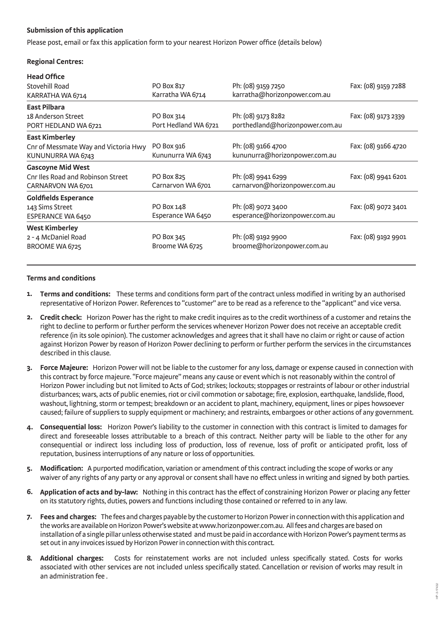## **Submission of this application**

Please post, email or fax this application form to your nearest Horizon Power office (details below)

## **Regional Centres:**

| <b>Head Office</b>                   |                      |                                 |                     |
|--------------------------------------|----------------------|---------------------------------|---------------------|
| Stovehill Road                       | PO Box 817           | Ph: (08) 9159 7250              | Fax: (08) 9159 7288 |
| KARRATHA WA 6714                     | Karratha WA 6714     | karratha@horizonpower.com.au    |                     |
| <b>East Pilbara</b>                  |                      |                                 |                     |
| 18 Anderson Street                   | PO Box 314           | Ph: (08) 9173 8282              | Fax: (08) 9173 2339 |
| PORT HEDLAND WA 6721                 | Port Hedland WA 6721 | porthedland@horizonpower.com.au |                     |
| <b>East Kimberley</b>                |                      |                                 |                     |
| Cnr of Messmate Way and Victoria Hwy | PO Box 916           | Ph: (08) 9166 4700              | Fax: (08) 9166 4720 |
| KUNUNURRA WA 6743                    | Kununurra WA 6743    | kununurra@horizonpower.com.au   |                     |
| <b>Gascoyne Mid West</b>             |                      |                                 |                     |
| Cnr Iles Road and Robinson Street    | PO Box 825           | Ph: (08) 9941 6299              | Fax: (08) 9941 6201 |
| CARNARVON WA 6701                    | Carnarvon WA 6701    | carnarvon@horizonpower.com.au   |                     |
| <b>Goldfields Esperance</b>          |                      |                                 |                     |
| 143 Sims Street                      | PO Box 148           | Ph: (08) 9072 3400              | Fax: (08) 9072 3401 |
| ESPERANCE WA 6450                    | Esperance WA 6450    | esperance@horizonpower.com.au   |                     |
| <b>West Kimberley</b>                |                      |                                 |                     |
| 2 - 4 McDaniel Road                  | PO Box 345           | Ph: (08) 9192 9900              | Fax: (08) 9192 9901 |
| BROOME WA 6725                       | Broome WA 6725       | broome@horizonpower.com.au      |                     |

## **Terms and conditions**

- **1. Terms and conditions:** These terms and conditions form part of the contract unless modified in writing by an authorised representative of Horizon Power. References to "customer" are to be read as a reference to the "applicant" and vice versa.
- **2. Credit check:** Horizon Power has the right to make credit inquires as to the credit worthiness of a customer and retains the right to decline to perform or further perform the services whenever Horizon Power does not receive an acceptable credit reference (in its sole opinion). The customer acknowledges and agrees that it shall have no claim or right or cause of action against Horizon Power by reason of Horizon Power declining to perform or further perform the services in the circumstances described in this clause.
- **3. Force Majeure:** Horizon Power will not be liable to the customer for any loss, damage or expense caused in connection with this contract by force majeure."Force majeure" means any cause or event which is not reasonably within the control of Horizon Power including but not limited to Acts of God; strikes; lockouts; stoppages or restraints of labour or other industrial disturbances; wars, acts of public enemies, riot or civil commotion or sabotage; fire, explosion, earthquake, landslide, flood, washout, lightning, storm or tempest; breakdown or an accident to plant, machinery, equipment, lines or pipes howsoever caused; failure of suppliers to supply equipment or machinery; and restraints, embargoes or other actions of any government.
- **4. Consequential loss:** Horizon Power's liability to the customer in connection with this contract is limited to damages for direct and foreseeable losses attributable to a breach of this contract. Neither party will be liable to the other for any consequential or indirect loss including loss of production, loss of revenue, loss of profit or anticipated profit, loss of reputation, business interruptions of any nature or loss of opportunities.
- **5. Modification:** A purported modification, variation or amendment of this contract including the scope of works or any waiver of any rights of any party or any approval or consent shall have no effect unless in writing and signed by both parties.
- **6. Application of acts and by-law:** Nothing in this contract has the effect of constraining Horizon Power or placing any fetter on its statutory rights, duties, powers and functions including those contained or referred to in any law.
- **7. Fees and charges:** The fees and charges payable by the customer to Horizon Power in connection with this application and the works are available on Horizon Power's website at www.horizonpower.com.au. All fees and charges are based on installation of a single pillar unless otherwise stated and must be paid in accordance with Horizon Power's payment terms as set out in any invoices issued by Horizon Power in connection with this contract.
- **Additional charges:** Costs for reinstatement works are not included unless specifically stated. Costs for works associated with other services are not included unless specifically stated. Cancellation or revision of works may result in an administration fee .